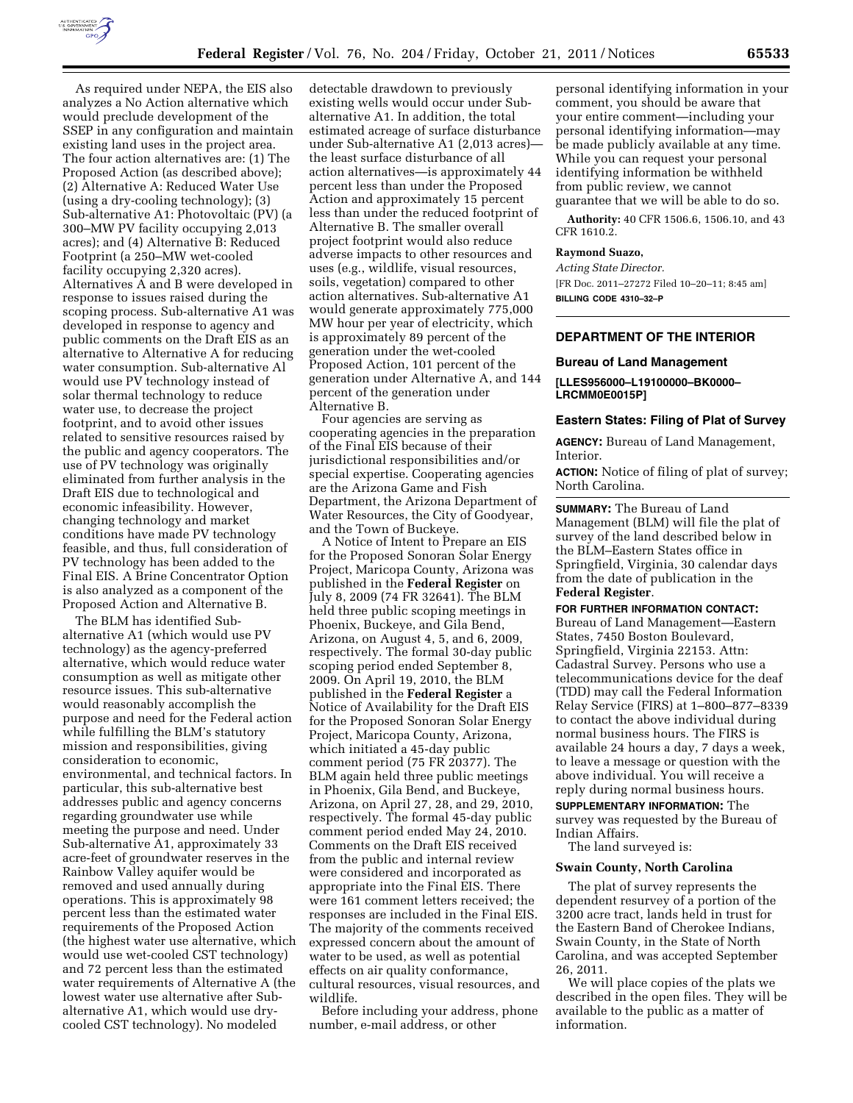

As required under NEPA, the EIS also analyzes a No Action alternative which would preclude development of the SSEP in any configuration and maintain existing land uses in the project area. The four action alternatives are: (1) The Proposed Action (as described above); (2) Alternative A: Reduced Water Use (using a dry-cooling technology); (3) Sub-alternative A1: Photovoltaic (PV) (a 300–MW PV facility occupying 2,013 acres); and (4) Alternative B: Reduced Footprint (a 250–MW wet-cooled facility occupying 2,320 acres). Alternatives A and B were developed in response to issues raised during the scoping process. Sub-alternative A1 was developed in response to agency and public comments on the Draft EIS as an alternative to Alternative A for reducing water consumption. Sub-alternative Al would use PV technology instead of solar thermal technology to reduce water use, to decrease the project footprint, and to avoid other issues related to sensitive resources raised by the public and agency cooperators. The use of PV technology was originally eliminated from further analysis in the Draft EIS due to technological and economic infeasibility. However, changing technology and market conditions have made PV technology feasible, and thus, full consideration of PV technology has been added to the Final EIS. A Brine Concentrator Option is also analyzed as a component of the Proposed Action and Alternative B.

The BLM has identified Subalternative A1 (which would use PV technology) as the agency-preferred alternative, which would reduce water consumption as well as mitigate other resource issues. This sub-alternative would reasonably accomplish the purpose and need for the Federal action while fulfilling the BLM's statutory mission and responsibilities, giving consideration to economic, environmental, and technical factors. In particular, this sub-alternative best addresses public and agency concerns regarding groundwater use while meeting the purpose and need. Under Sub-alternative A1, approximately 33 acre-feet of groundwater reserves in the Rainbow Valley aquifer would be removed and used annually during operations. This is approximately 98 percent less than the estimated water requirements of the Proposed Action (the highest water use alternative, which would use wet-cooled CST technology) and 72 percent less than the estimated water requirements of Alternative A (the lowest water use alternative after Subalternative A1, which would use drycooled CST technology). No modeled

detectable drawdown to previously existing wells would occur under Subalternative A1. In addition, the total estimated acreage of surface disturbance under Sub-alternative A1 (2,013 acres) the least surface disturbance of all action alternatives—is approximately 44 percent less than under the Proposed Action and approximately 15 percent less than under the reduced footprint of Alternative B. The smaller overall project footprint would also reduce adverse impacts to other resources and uses (e.g., wildlife, visual resources, soils, vegetation) compared to other action alternatives. Sub-alternative A1 would generate approximately 775,000 MW hour per year of electricity, which is approximately 89 percent of the generation under the wet-cooled Proposed Action, 101 percent of the generation under Alternative A, and 144 percent of the generation under Alternative B.

Four agencies are serving as cooperating agencies in the preparation of the Final EIS because of their jurisdictional responsibilities and/or special expertise. Cooperating agencies are the Arizona Game and Fish Department, the Arizona Department of Water Resources, the City of Goodyear, and the Town of Buckeye.

A Notice of Intent to Prepare an EIS for the Proposed Sonoran Solar Energy Project, Maricopa County, Arizona was published in the **Federal Register** on July 8, 2009 (74 FR 32641). The BLM held three public scoping meetings in Phoenix, Buckeye, and Gila Bend, Arizona, on August 4, 5, and 6, 2009, respectively. The formal 30-day public scoping period ended September 8, 2009. On April 19, 2010, the BLM published in the **Federal Register** a Notice of Availability for the Draft EIS for the Proposed Sonoran Solar Energy Project, Maricopa County, Arizona, which initiated a 45-day public comment period (75 FR 20377). The BLM again held three public meetings in Phoenix, Gila Bend, and Buckeye, Arizona, on April 27, 28, and 29, 2010, respectively. The formal 45-day public comment period ended May 24, 2010. Comments on the Draft EIS received from the public and internal review were considered and incorporated as appropriate into the Final EIS. There were 161 comment letters received; the responses are included in the Final EIS. The majority of the comments received expressed concern about the amount of water to be used, as well as potential effects on air quality conformance, cultural resources, visual resources, and wildlife.

Before including your address, phone number, e-mail address, or other

personal identifying information in your comment, you should be aware that your entire comment—including your personal identifying information—may be made publicly available at any time. While you can request your personal identifying information be withheld from public review, we cannot guarantee that we will be able to do so.

**Authority:** 40 CFR 1506.6, 1506.10, and 43 CFR 1610.2.

#### **Raymond Suazo,**

*Acting State Director.* 

[FR Doc. 2011–27272 Filed 10–20–11; 8:45 am] **BILLING CODE 4310–32–P** 

## **DEPARTMENT OF THE INTERIOR**

#### **Bureau of Land Management**

**[LLES956000–L19100000–BK0000– LRCMM0E0015P]** 

# **Eastern States: Filing of Plat of Survey**

**AGENCY:** Bureau of Land Management, Interior.

**ACTION:** Notice of filing of plat of survey; North Carolina.

**SUMMARY:** The Bureau of Land Management (BLM) will file the plat of survey of the land described below in the BLM–Eastern States office in Springfield, Virginia, 30 calendar days from the date of publication in the **Federal Register**.

#### **FOR FURTHER INFORMATION CONTACT:**

Bureau of Land Management—Eastern States, 7450 Boston Boulevard, Springfield, Virginia 22153. Attn: Cadastral Survey. Persons who use a telecommunications device for the deaf (TDD) may call the Federal Information Relay Service (FIRS) at 1–800–877–8339 to contact the above individual during normal business hours. The FIRS is available 24 hours a day, 7 days a week, to leave a message or question with the above individual. You will receive a reply during normal business hours. **SUPPLEMENTARY INFORMATION:** The

survey was requested by the Bureau of Indian Affairs.

The land surveyed is:

## **Swain County, North Carolina**

The plat of survey represents the dependent resurvey of a portion of the 3200 acre tract, lands held in trust for the Eastern Band of Cherokee Indians, Swain County, in the State of North Carolina, and was accepted September 26, 2011.

We will place copies of the plats we described in the open files. They will be available to the public as a matter of information.